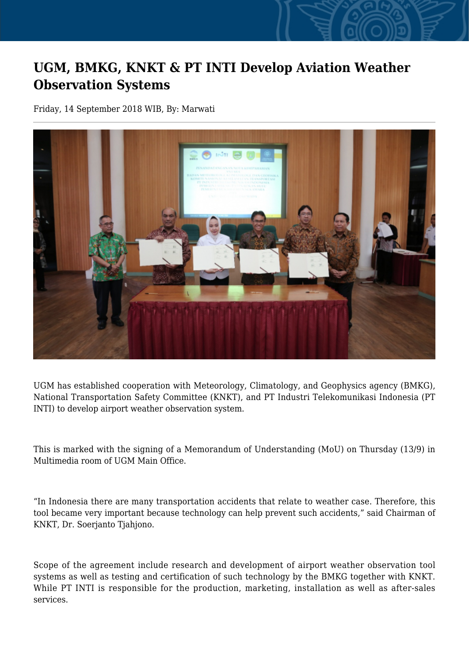## **UGM, BMKG, KNKT & PT INTI Develop Aviation Weather Observation Systems**

Friday, 14 September 2018 WIB, By: Marwati



UGM has established cooperation with Meteorology, Climatology, and Geophysics agency (BMKG), National Transportation Safety Committee (KNKT), and PT Industri Telekomunikasi Indonesia (PT INTI) to develop airport weather observation system.

This is marked with the signing of a Memorandum of Understanding (MoU) on Thursday (13/9) in Multimedia room of UGM Main Office.

"In Indonesia there are many transportation accidents that relate to weather case. Therefore, this tool became very important because technology can help prevent such accidents," said Chairman of KNKT, Dr. Soerjanto Tjahjono.

Scope of the agreement include research and development of airport weather observation tool systems as well as testing and certification of such technology by the BMKG together with KNKT. While PT INTI is responsible for the production, marketing, installation as well as after-sales services.